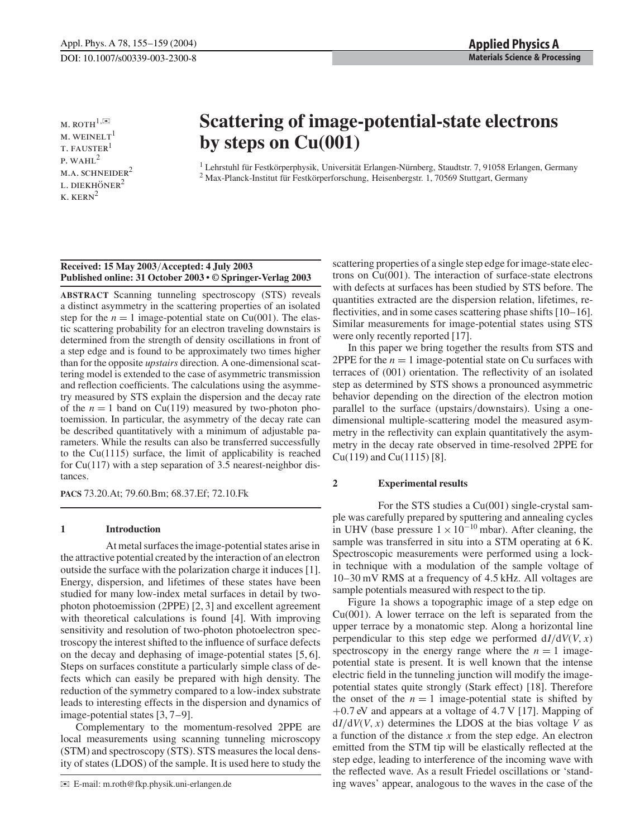$M.$  ROTH $^{1,\boxtimes}$  $M.$  WEINELT<sup>1</sup> **T. FAUSTER** p. wahl<sup>2</sup> M.A. SCHNEIDER<sup>2</sup> L. DIEKHÖNER $2$  $k$ .  $KERN^2$ 

# **Scattering of image-potential-state electrons by steps on Cu(001)**

<sup>1</sup> Lehrstuhl für Festkörperphysik, Universität Erlangen-Nürnberg, Staudtstr. 7, 91058 Erlangen, Germany <sup>2</sup> Max-Planck-Institut für Festkörperforschung, Heisenbergstr. 1, 70569 Stuttgart, Germany

## **Received: 15 May 2003**/**Accepted: 4 July 2003 Published online: 31 October 2003 • © Springer-Verlag 2003**

**ABSTRACT** Scanning tunneling spectroscopy (STS) reveals a distinct asymmetry in the scattering properties of an isolated step for the  $n = 1$  image-potential state on Cu(001). The elastic scattering probability for an electron traveling downstairs is determined from the strength of density oscillations in front of a step edge and is found to be approximately two times higher than for the opposite *upstairs* direction. A one-dimensional scattering model is extended to the case of asymmetric transmission and reflection coefficients. The calculations using the asymmetry measured by STS explain the dispersion and the decay rate of the  $n = 1$  band on Cu(119) measured by two-photon photoemission. In particular, the asymmetry of the decay rate can be described quantitatively with a minimum of adjustable parameters. While the results can also be transferred successfully to the Cu(1115) surface, the limit of applicability is reached for Cu(117) with a step separation of 3.5 nearest-neighbor distances.

**PACS** 73.20.At; 79.60.Bm; 68.37.Ef; 72.10.Fk

# **1 Introduction**

At metal surfaces the image-potential states arise in the attractive potential created by the interaction of an electron outside the surface with the polarization charge it induces [1]. Energy, dispersion, and lifetimes of these states have been studied for many low-index metal surfaces in detail by twophoton photoemission (2PPE) [2, 3] and excellent agreement with theoretical calculations is found [4]. With improving sensitivity and resolution of two-photon photoelectron spectroscopy the interest shifted to the influence of surface defects on the decay and dephasing of image-potential states [5, 6]. Steps on surfaces constitute a particularly simple class of defects which can easily be prepared with high density. The reduction of the symmetry compared to a low-index substrate leads to interesting effects in the dispersion and dynamics of image-potential states [3, 7–9].

Complementary to the momentum-resolved 2PPE are local measurements using scanning tunneling microscopy (STM) and spectroscopy (STS). STS measures the local density of states (LDOS) of the sample. It is used here to study the scattering properties of a single step edge for image-state electrons on Cu(001). The interaction of surface-state electrons with defects at surfaces has been studied by STS before. The quantities extracted are the dispersion relation, lifetimes, reflectivities, and in some cases scattering phase shifts [10–16]. Similar measurements for image-potential states using STS were only recently reported [17].

In this paper we bring together the results from STS and 2PPE for the  $n = 1$  image-potential state on Cu surfaces with terraces of (001) orientation. The reflectivity of an isolated step as determined by STS shows a pronounced asymmetric behavior depending on the direction of the electron motion parallel to the surface (upstairs/downstairs). Using a onedimensional multiple-scattering model the measured asymmetry in the reflectivity can explain quantitatively the asymmetry in the decay rate observed in time-resolved 2PPE for  $Cu(119)$  and  $Cu(1115)$  [8].

#### **2 Experimental results**

For the STS studies a Cu(001) single-crystal sample was carefully prepared by sputtering and annealing cycles in UHV (base pressure  $1 \times 10^{-10}$  mbar). After cleaning, the sample was transferred in situ into a STM operating at 6 K. Spectroscopic measurements were performed using a lockin technique with a modulation of the sample voltage of 10–30 mV RMS at a frequency of 4.5 kHz. All voltages are sample potentials measured with respect to the tip.

Figure 1a shows a topographic image of a step edge on  $Cu(001)$ . A lower terrace on the left is separated from the upper terrace by a monatomic step. Along a horizontal line perpendicular to this step edge we performed  $dI/dV(V, x)$ spectroscopy in the energy range where the  $n = 1$  imagepotential state is present. It is well known that the intense electric field in the tunneling junction will modify the imagepotential states quite strongly (Stark effect) [18]. Therefore the onset of the  $n = 1$  image-potential state is shifted by +0.7 eV and appears at a voltage of 4.7 V [17]. Mapping of  $dI/dV(V, x)$  determines the LDOS at the bias voltage *V* as a function of the distance *x* from the step edge. An electron emitted from the STM tip will be elastically reflected at the step edge, leading to interference of the incoming wave with the reflected wave. As a result Friedel oscillations or 'standing waves' appear, analogous to the waves in the case of the

<sup>✉</sup> E-mail: m.roth@fkp.physik.uni-erlangen.de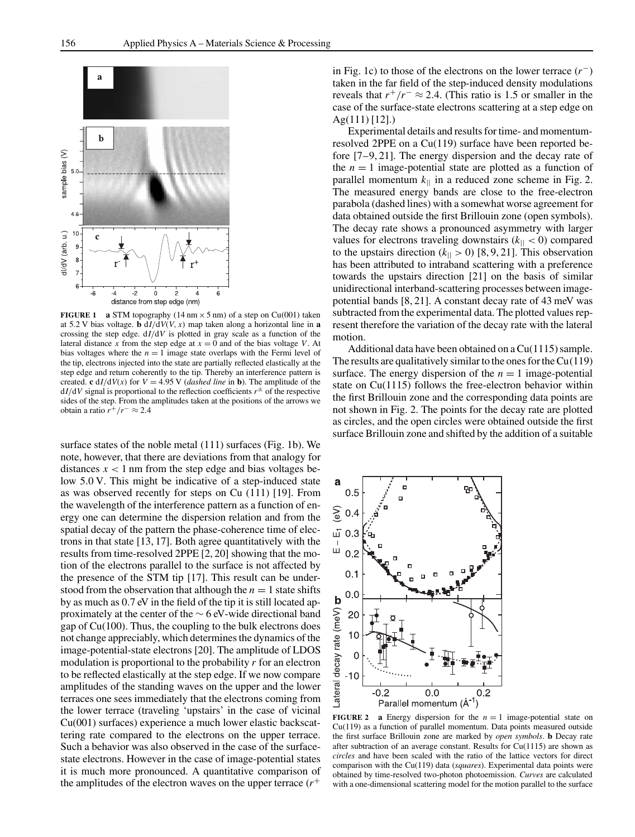

**FIGURE 1 a** STM topography (14 nm  $\times$  5 nm) of a step on Cu(001) taken at 5.2 V bias voltage. **b**  $dI/dV(V, x)$  map taken along a horizontal line in **a** crossing the step edge. d*I*/d*V* is plotted in gray scale as a function of the lateral distance x from the step edge at  $x = 0$  and of the bias voltage V. At bias voltages where the  $n = 1$  image state overlaps with the Fermi level of the tip, electrons injected into the state are partially reflected elastically at the step edge and return coherently to the tip. Thereby an interference pattern is created. **c** d*I*/d*V*(*x*) for *V* = 4.95 *V* (*dashed line* in **b**). The amplitude of the  $dI/dV$  signal is proportional to the reflection coefficients  $r^{\pm}$  of the respective sides of the step. From the amplitudes taken at the positions of the arrows we obtain a ratio  $r^+/r^- \approx 2.4$ 

surface states of the noble metal (111) surfaces (Fig. 1b). We note, however, that there are deviations from that analogy for distances  $x < 1$  nm from the step edge and bias voltages below 5.0 V. This might be indicative of a step-induced state as was observed recently for steps on Cu (111) [19]. From the wavelength of the interference pattern as a function of energy one can determine the dispersion relation and from the spatial decay of the pattern the phase-coherence time of electrons in that state [13, 17]. Both agree quantitatively with the results from time-resolved 2PPE [2, 20] showing that the motion of the electrons parallel to the surface is not affected by the presence of the STM tip [17]. This result can be understood from the observation that although the  $n = 1$  state shifts by as much as 0.7 eV in the field of the tip it is still located approximately at the center of the ∼ 6 eV-wide directional band gap of Cu(100). Thus, the coupling to the bulk electrons does not change appreciably, which determines the dynamics of the image-potential-state electrons [20]. The amplitude of LDOS modulation is proportional to the probability *r* for an electron to be reflected elastically at the step edge. If we now compare amplitudes of the standing waves on the upper and the lower terraces one sees immediately that the electrons coming from the lower terrace (traveling 'upstairs' in the case of vicinal Cu(001) surfaces) experience a much lower elastic backscattering rate compared to the electrons on the upper terrace. Such a behavior was also observed in the case of the surfacestate electrons. However in the case of image-potential states it is much more pronounced. A quantitative comparison of the amplitudes of the electron waves on the upper terrace (*r*+

in Fig. 1c) to those of the electrons on the lower terrace (*r*−) taken in the far field of the step-induced density modulations reveals that  $r^+/r^- \approx 2.4$ . (This ratio is 1.5 or smaller in the case of the surface-state electrons scattering at a step edge on Ag(111) [12].)

Experimental details and results for time- and momentumresolved 2PPE on a Cu(119) surface have been reported before [7–9, 21]. The energy dispersion and the decay rate of the  $n = 1$  image-potential state are plotted as a function of parallel momentum  $k_{\parallel}$  in a reduced zone scheme in Fig. 2. The measured energy bands are close to the free-electron parabola (dashed lines) with a somewhat worse agreement for data obtained outside the first Brillouin zone (open symbols). The decay rate shows a pronounced asymmetry with larger values for electrons traveling downstairs  $(k_{\parallel} < 0)$  compared to the upstairs direction  $(k_{\parallel} > 0)$  [8, 9, 21]. This observation has been attributed to intraband scattering with a preference towards the upstairs direction [21] on the basis of similar unidirectional interband-scattering processes between imagepotential bands [8, 21]. A constant decay rate of 43 meV was subtracted from the experimental data. The plotted values represent therefore the variation of the decay rate with the lateral motion.

Additional data have been obtained on aCu(1115) sample. The results are qualitatively similar to the ones for the  $Cu(119)$ surface. The energy dispersion of the  $n = 1$  image-potential state on Cu(1115) follows the free-electron behavior within the first Brillouin zone and the corresponding data points are not shown in Fig. 2. The points for the decay rate are plotted as circles, and the open circles were obtained outside the first surface Brillouin zone and shifted by the addition of a suitable



**FIGURE 2 a** Energy dispersion for the  $n = 1$  image-potential state on Cu(119) as a function of parallel momentum. Data points measured outside the first surface Brillouin zone are marked by *open symbols*. **b** Decay rate after subtraction of an average constant. Results for  $Cu(1115)$  are shown as *circles* and have been scaled with the ratio of the lattice vectors for direct comparison with the Cu(119) data (*squares*). Experimental data points were obtained by time-resolved two-photon photoemission. *Curves* are calculated with a one-dimensional scattering model for the motion parallel to the surface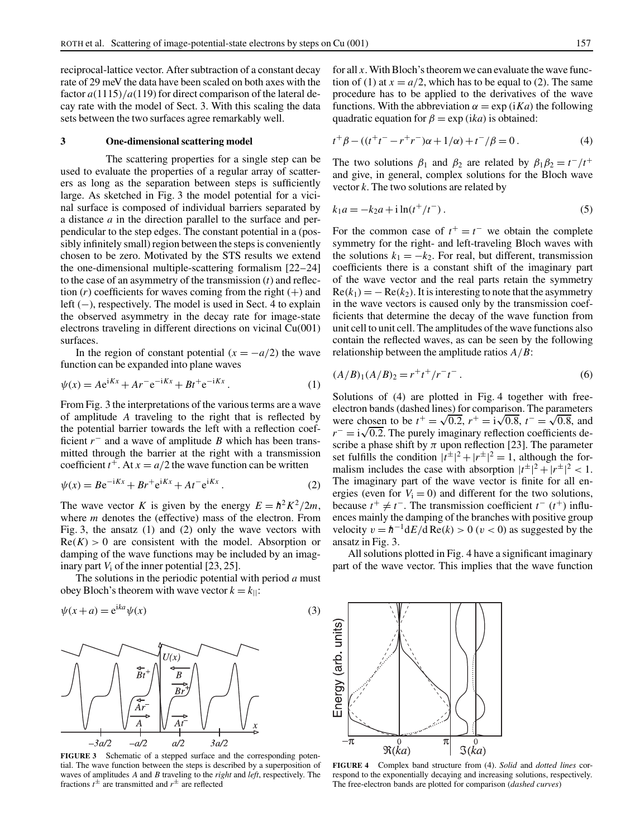reciprocal-lattice vector. After subtraction of a constant decay rate of 29 meV the data have been scaled on both axes with the factor  $a(1115)/a(119)$  for direct comparison of the lateral decay rate with the model of Sect. 3. With this scaling the data sets between the two surfaces agree remarkably well.

## **3 One-dimensional scattering model**

The scattering properties for a single step can be used to evaluate the properties of a regular array of scatterers as long as the separation between steps is sufficiently large. As sketched in Fig. 3 the model potential for a vicinal surface is composed of individual barriers separated by a distance *a* in the direction parallel to the surface and perpendicular to the step edges. The constant potential in a (possibly infinitely small) region between the steps is conveniently chosen to be zero. Motivated by the STS results we extend the one-dimensional multiple-scattering formalism [22–24] to the case of an asymmetry of the transmission (*t*) and reflection  $(r)$  coefficients for waves coming from the right  $(+)$  and left (−), respectively. The model is used in Sect. 4 to explain the observed asymmetry in the decay rate for image-state electrons traveling in different directions on vicinal Cu(001) surfaces.

In the region of constant potential  $(x = -a/2)$  the wave function can be expanded into plane waves

$$
\psi(x) = Ae^{iKx} + Ar^{-}e^{-iKx} + Bt^{+}e^{-iKx}.
$$
 (1)

From Fig. 3 the interpretations of the various terms are a wave of amplitude *A* traveling to the right that is reflected by the potential barrier towards the left with a reflection coefficient *r*− and a wave of amplitude *B* which has been transmitted through the barrier at the right with a transmission coefficient  $t^+$ . At  $x = a/2$  the wave function can be written

$$
\psi(x) = B e^{-iKx} + B r^+ e^{iKx} + A t^- e^{iKx} . \tag{2}
$$

The wave vector *K* is given by the energy  $E = \frac{h^2 K^2}{2m}$ , where *m* denotes the (effective) mass of the electron. From Fig. 3, the ansatz (1) and (2) only the wave vectors with  $Re(K) > 0$  are consistent with the model. Absorption or damping of the wave functions may be included by an imaginary part  $V_i$  of the inner potential  $[23, 25]$ .

The solutions in the periodic potential with period *a* must obey Bloch's theorem with wave vector  $k = k_{\parallel}$ :

$$
\psi(x+a) = e^{ika}\psi(x) \tag{3}
$$



**FIGURE 3** Schematic of a stepped surface and the corresponding potential. The wave function between the steps is described by a superposition of waves of amplitudes *A* and *B* traveling to the *right* and *left*, respectively. The fractions  $t^{\pm}$  are transmitted and  $r^{\pm}$  are reflected

for all *x*. With Bloch's theorem we can evaluate the wave function of (1) at  $x = a/2$ , which has to be equal to (2). The same procedure has to be applied to the derivatives of the wave functions. With the abbreviation  $\alpha = \exp(iKa)$  the following quadratic equation for  $\beta = \exp(ika)$  is obtained:

$$
t^{+}\beta - ((t^{+}t^{-} - r^{+}r^{-})\alpha + 1/\alpha) + t^{-}/\beta = 0.
$$
 (4)

The two solutions  $\beta_1$  and  $\beta_2$  are related by  $\beta_1 \beta_2 = t^-/t^+$ and give, in general, complex solutions for the Bloch wave vector *k*. The two solutions are related by

$$
k_1 a = -k_2 a + i \ln(t^+/t^-).
$$
 (5)

For the common case of  $t^+ = t^-$  we obtain the complete symmetry for the right- and left-traveling Bloch waves with the solutions  $k_1 = -k_2$ . For real, but different, transmission coefficients there is a constant shift of the imaginary part of the wave vector and the real parts retain the symmetry  $Re(k_1) = -Re(k_2)$ . It is interesting to note that the asymmetry in the wave vectors is caused only by the transmission coefficients that determine the decay of the wave function from unit cell to unit cell. The amplitudes of the wave functions also contain the reflected waves, as can be seen by the following relationship between the amplitude ratios *A*/*B*:

$$
(A/B)1(A/B)2 = r+t+/r-t-.
$$
 (6)

Solutions of (4) are plotted in Fig. 4 together with freeelectron bands (dashed lines) for comparison. The parameters were chosen to be  $t^+ = \sqrt{0.2}$ ,  $r^+ = i\sqrt{0.8}$ ,  $t^- = \sqrt{0.8}$ , and *r*<sup>−</sup> = i $\sqrt{0.2}$ . The purely imaginary reflection coefficients describe a phase shift by  $\pi$  upon reflection [23]. The parameter set fulfills the condition  $|t^{\pm}|^2 + |r^{\pm}|^2 = 1$ , although the formalism includes the case with absorption  $|t^{\pm}|^2 + |r^{\pm}|^2 < 1$ . The imaginary part of the wave vector is finite for all energies (even for  $V_i = 0$ ) and different for the two solutions, because  $t^+ \neq t^-$ . The transmission coefficient  $t^-(t^+)$  influences mainly the damping of the branches with positive group velocity  $v = h^{-1} dE/d \text{Re}(k) > 0$  ( $v < 0$ ) as suggested by the ansatz in Fig. 3.

All solutions plotted in Fig. 4 have a significant imaginary part of the wave vector. This implies that the wave function

Energy (arb. units)  $-\pi$  $\pi$  $\overline{0}$  $\Im(ka)$  $\Re(ka)$ 

**FIGURE 4** Complex band structure from (4). *Solid* and *dotted lines* correspond to the exponentially decaying and increasing solutions, respectively. The free-electron bands are plotted for comparison (*dashed curves*)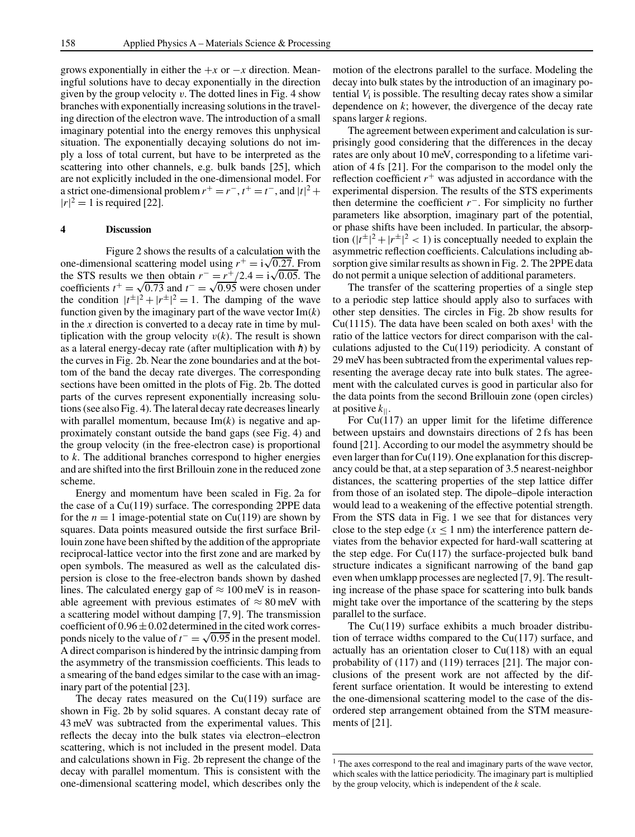grows exponentially in either the  $+x$  or  $-x$  direction. Meaningful solutions have to decay exponentially in the direction given by the group velocity  $v$ . The dotted lines in Fig. 4 show branches with exponentially increasing solutions in the traveling direction of the electron wave. The introduction of a small imaginary potential into the energy removes this unphysical situation. The exponentially decaying solutions do not imply a loss of total current, but have to be interpreted as the scattering into other channels, e.g. bulk bands [25], which are not explicitly included in the one-dimensional model. For a strict one-dimensional problem  $r^+ = r^-$ ,  $t^+ = t^-$ , and  $|t|^2 +$  $|r|^2 = 1$  is required [22].

## **4 Discussion**

Figure 2 shows the results of a calculation with the one-dimensional scattering model using  $r^+ = i\sqrt{0.27}$ . From the STS results we then obtain  $r^- = \frac{r^+}{2.4} = i\sqrt{0.05}$ . The coefficients  $t^+ = \sqrt{0.73}$  and  $t^- = \sqrt{0.95}$  were chosen under the condition  $|t^{\pm}|^2 + |r^{\pm}|^2 = 1$ . The damping of the wave function given by the imaginary part of the wave vector Im(*k*) in the *x* direction is converted to a decay rate in time by multiplication with the group velocity  $v(k)$ . The result is shown as a lateral energy-decay rate (after multiplication with *h*) by the curves in Fig. 2b. Near the zone boundaries and at the bottom of the band the decay rate diverges. The corresponding sections have been omitted in the plots of Fig. 2b. The dotted parts of the curves represent exponentially increasing solutions (see also Fig. 4). The lateral decay rate decreases linearly with parallel momentum, because  $Im(k)$  is negative and approximately constant outside the band gaps (see Fig. 4) and the group velocity (in the free-electron case) is proportional to *k*. The additional branches correspond to higher energies and are shifted into the first Brillouin zone in the reduced zone scheme.

Energy and momentum have been scaled in Fig. 2a for the case of a Cu(119) surface. The corresponding 2PPE data for the  $n = 1$  image-potential state on Cu(119) are shown by squares. Data points measured outside the first surface Brillouin zone have been shifted by the addition of the appropriate reciprocal-lattice vector into the first zone and are marked by open symbols. The measured as well as the calculated dispersion is close to the free-electron bands shown by dashed lines. The calculated energy gap of  $\approx 100$  meV is in reasonable agreement with previous estimates of  $\approx 80$  meV with a scattering model without damping [7, 9]. The transmission coefficient of  $0.96 \pm 0.02$  determined in the cited work corresponds nicely to the value of  $t^- = \sqrt{0.95}$  in the present model. A direct comparison is hindered by the intrinsic damping from the asymmetry of the transmission coefficients. This leads to a smearing of the band edges similar to the case with an imaginary part of the potential [23].

The decay rates measured on the  $Cu(119)$  surface are shown in Fig. 2b by solid squares. A constant decay rate of 43 meV was subtracted from the experimental values. This reflects the decay into the bulk states via electron–electron scattering, which is not included in the present model. Data and calculations shown in Fig. 2b represent the change of the decay with parallel momentum. This is consistent with the one-dimensional scattering model, which describes only the motion of the electrons parallel to the surface. Modeling the decay into bulk states by the introduction of an imaginary potential *V*<sup>i</sup> is possible. The resulting decay rates show a similar dependence on *k*; however, the divergence of the decay rate spans larger *k* regions.

The agreement between experiment and calculation is surprisingly good considering that the differences in the decay rates are only about 10 meV, corresponding to a lifetime variation of 4 fs [21]. For the comparison to the model only the reflection coefficient  $r^+$  was adjusted in accordance with the experimental dispersion. The results of the STS experiments then determine the coefficient *r*−. For simplicity no further parameters like absorption, imaginary part of the potential, or phase shifts have been included. In particular, the absorption  $(|t^{\pm}|^2 + |r^{\pm}|^2 < 1)$  is conceptually needed to explain the asymmetric reflection coefficients. Calculations including absorption give similar results as shown in Fig. 2. The 2PPE data do not permit a unique selection of additional parameters.

The transfer of the scattering properties of a single step to a periodic step lattice should apply also to surfaces with other step densities. The circles in Fig. 2b show results for Cu(1115). The data have been scaled on both axes<sup>1</sup> with the ratio of the lattice vectors for direct comparison with the calculations adjusted to the Cu(119) periodicity. A constant of 29 meV has been subtracted from the experimental values representing the average decay rate into bulk states. The agreement with the calculated curves is good in particular also for the data points from the second Brillouin zone (open circles) at positive *k*||.

For  $Cu(117)$  an upper limit for the lifetime difference between upstairs and downstairs directions of 2 fs has been found [21]. According to our model the asymmetry should be even larger than for Cu(119). One explanation for this discrepancy could be that, at a step separation of 3.5 nearest-neighbor distances, the scattering properties of the step lattice differ from those of an isolated step. The dipole–dipole interaction would lead to a weakening of the effective potential strength. From the STS data in Fig. 1 we see that for distances very close to the step edge ( $x \le 1$  nm) the interference pattern deviates from the behavior expected for hard-wall scattering at the step edge. For  $Cu(117)$  the surface-projected bulk band structure indicates a significant narrowing of the band gap even when umklapp processes are neglected [7, 9]. The resulting increase of the phase space for scattering into bulk bands might take over the importance of the scattering by the steps parallel to the surface.

The Cu(119) surface exhibits a much broader distribution of terrace widths compared to the  $Cu(117)$  surface, and actually has an orientation closer to Cu(118) with an equal probability of (117) and (119) terraces [21]. The major conclusions of the present work are not affected by the different surface orientation. It would be interesting to extend the one-dimensional scattering model to the case of the disordered step arrangement obtained from the STM measurements of [21].

<sup>&</sup>lt;sup>1</sup> The axes correspond to the real and imaginary parts of the wave vector, which scales with the lattice periodicity. The imaginary part is multiplied by the group velocity, which is independent of the *k* scale.